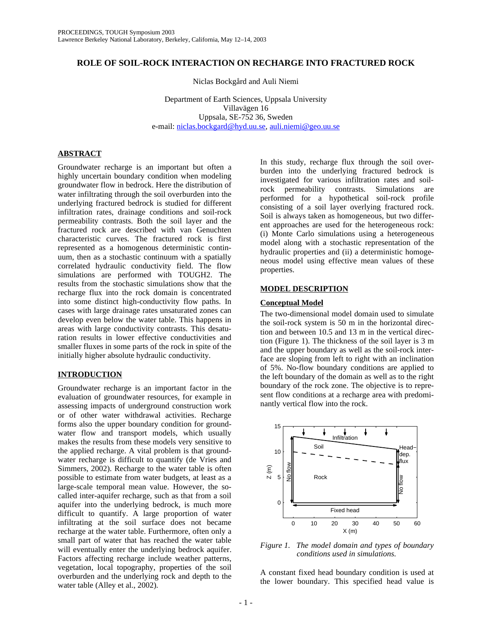# **ROLE OF SOIL-ROCK INTERACTION ON RECHARGE INTO FRACTURED ROCK**

Niclas Bockgård and Auli Niemi

Department of Earth Sciences, Uppsala University Villavägen 16 Uppsala, SE-752 36, Sweden e-mail: niclas.bockgard@hyd.uu.se, auli.niemi@geo.uu.se

## **ABSTRACT**

Groundwater recharge is an important but often a highly uncertain boundary condition when modeling groundwater flow in bedrock. Here the distribution of water infiltrating through the soil overburden into the underlying fractured bedrock is studied for different infiltration rates, drainage conditions and soil-rock permeability contrasts. Both the soil layer and the fractured rock are described with van Genuchten characteristic curves. The fractured rock is first represented as a homogenous deterministic continuum, then as a stochastic continuum with a spatially correlated hydraulic conductivity field. The flow simulations are performed with TOUGH2. The results from the stochastic simulations show that the recharge flux into the rock domain is concentrated into some distinct high-conductivity flow paths. In cases with large drainage rates unsaturated zones can develop even below the water table. This happens in areas with large conductivity contrasts. This desaturation results in lower effective conductivities and smaller fluxes in some parts of the rock in spite of the initially higher absolute hydraulic conductivity.

## **INTRODUCTION**

Groundwater recharge is an important factor in the evaluation of groundwater resources, for example in assessing impacts of underground construction work or of other water withdrawal activities. Recharge forms also the upper boundary condition for groundwater flow and transport models, which usually makes the results from these models very sensitive to the applied recharge. A vital problem is that groundwater recharge is difficult to quantify (de Vries and Simmers, 2002). Recharge to the water table is often possible to estimate from water budgets, at least as a large-scale temporal mean value. However, the socalled inter-aquifer recharge, such as that from a soil aquifer into the underlying bedrock, is much more difficult to quantify. A large proportion of water infiltrating at the soil surface does not became recharge at the water table. Furthermore, often only a small part of water that has reached the water table will eventually enter the underlying bedrock aquifer. Factors affecting recharge include weather patterns, vegetation, local topography, properties of the soil overburden and the underlying rock and depth to the water table (Alley et al., 2002).

In this study, recharge flux through the soil overburden into the underlying fractured bedrock is investigated for various infiltration rates and soilrock permeability contrasts. Simulations are performed for a hypothetical soil-rock profile consisting of a soil layer overlying fractured rock. Soil is always taken as homogeneous, but two different approaches are used for the heterogeneous rock: (i) Monte Carlo simulations using a heterogeneous model along with a stochastic representation of the hydraulic properties and (ii) a deterministic homogeneous model using effective mean values of these properties.

## **MODEL DESCRIPTION**

### **Conceptual Model**

The two-dimensional model domain used to simulate the soil-rock system is 50 m in the horizontal direction and between 10.5 and 13 m in the vertical direction (Figure 1). The thickness of the soil layer is 3 m and the upper boundary as well as the soil-rock interface are sloping from left to right with an inclination of 5%. No-flow boundary conditions are applied to the left boundary of the domain as well as to the right boundary of the rock zone. The objective is to represent flow conditions at a recharge area with predominantly vertical flow into the rock.



*Figure 1. The model domain and types of boundary conditions used in simulations.* 

A constant fixed head boundary condition is used at the lower boundary. This specified head value is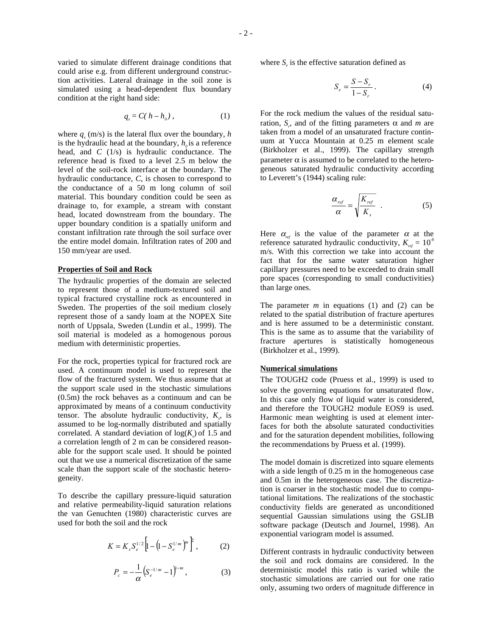varied to simulate different drainage conditions that could arise e.g. from different underground construction activities. Lateral drainage in the soil zone is simulated using a head-dependent flux boundary condition at the right hand side:

$$
q_{x}=C(h-h_{o})\,,\qquad \qquad (1)
$$

where  $q_x$  (m/s) is the lateral flux over the boundary, *h* is the hydraulic head at the boundary,  $h<sub>o</sub>$  is a reference head, and *C* (1/s) is hydraulic conductance. The reference head is fixed to a level 2.5 m below the level of the soil-rock interface at the boundary. The hydraulic conductance, *C*, is chosen to correspond to the conductance of a 50 m long column of soil material. This boundary condition could be seen as drainage to, for example, a stream with constant head, located downstream from the boundary. The upper boundary condition is a spatially uniform and constant infiltration rate through the soil surface over the entire model domain. Infiltration rates of 200 and 150 mm/year are used.

### **Properties of Soil and Rock**

The hydraulic properties of the domain are selected to represent those of a medium-textured soil and typical fractured crystalline rock as encountered in Sweden. The properties of the soil medium closely represent those of a sandy loam at the NOPEX Site north of Uppsala, Sweden (Lundin et al., 1999). The soil material is modeled as a homogenous porous medium with deterministic properties.

For the rock, properties typical for fractured rock are used. A continuum model is used to represent the flow of the fractured system. We thus assume that at the support scale used in the stochastic simulations (0.5m) the rock behaves as a continuum and can be approximated by means of a continuum conductivity tensor. The absolute hydraulic conductivity,  $K_s$ , is assumed to be log-normally distributed and spatially correlated. A standard deviation of  $log(K_s)$  of 1.5 and a correlation length of 2 m can be considered reasonable for the support scale used. It should be pointed out that we use a numerical discretization of the same scale than the support scale of the stochastic heterogeneity.

To describe the capillary pressure-liquid saturation and relative permeability-liquid saturation relations the van Genuchten (1980) characteristic curves are used for both the soil and the rock

$$
K = K_s S_e^{1/2} \left[ 1 - \left( 1 - S_e^{1/m} \right)^m \right]^2, \tag{2}
$$

$$
P_c = -\frac{1}{\alpha} \left( S_e^{-1/m} - 1 \right)^{1-m}, \tag{3}
$$

where  $S_e$  is the effective saturation defined as

$$
S_e = \frac{S - S_r}{1 - S_r} \,. \tag{4}
$$

For the rock medium the values of the residual saturation,  $S_r$ , and of the fitting parameters  $\alpha$  and  $m$  are taken from a model of an unsaturated fracture continuum at Yucca Mountain at 0.25 m element scale (Birkholzer et al., 1999). The capillary strength parameter  $\alpha$  is assumed to be correlated to the heterogeneous saturated hydraulic conductivity according to Leverett's (1944) scaling rule:

$$
\frac{\alpha_{ref}}{\alpha} = \sqrt{\frac{K_{ref}}{K_s}} \quad . \tag{5}
$$

Here  $\alpha_{ref}$  is the value of the parameter  $\alpha$  at the reference saturated hydraulic conductivity,  $K_{ref} = 10^{-8}$ m/s. With this correction we take into account the fact that for the same water saturation higher capillary pressures need to be exceeded to drain small pore spaces (corresponding to small conductivities) than large ones.

The parameter  $m$  in equations (1) and (2) can be related to the spatial distribution of fracture apertures and is here assumed to be a deterministic constant. This is the same as to assume that the variability of fracture apertures is statistically homogeneous (Birkholzer et al., 1999).

#### **Numerical simulations**

The TOUGH2 code (Pruess et al., 1999) is used to solve the governing equations for unsaturated flow. In this case only flow of liquid water is considered, and therefore the TOUGH2 module EOS9 is used. Harmonic mean weighting is used at element interfaces for both the absolute saturated conductivities and for the saturation dependent mobilities, following the recommendations by Pruess et al. (1999).

The model domain is discretized into square elements with a side length of 0.25 m in the homogeneous case and 0.5m in the heterogeneous case. The discretization is coarser in the stochastic model due to computational limitations. The realizations of the stochastic conductivity fields are generated as unconditioned sequential Gaussian simulations using the GSLIB software package (Deutsch and Journel, 1998). An exponential variogram model is assumed.

Different contrasts in hydraulic conductivity between the soil and rock domains are considered. In the deterministic model this ratio is varied while the stochastic simulations are carried out for one ratio only, assuming two orders of magnitude difference in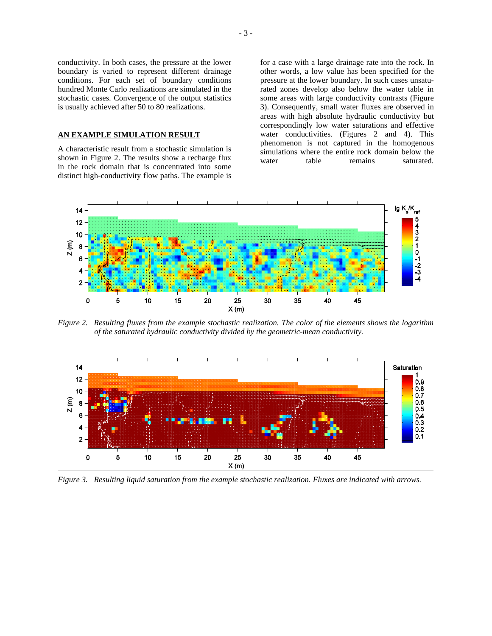conductivity. In both cases, the pressure at the lower boundary is varied to represent different drainage conditions. For each set of boundary conditions hundred Monte Carlo realizations are simulated in the stochastic cases. Convergence of the output statistics is usually achieved after 50 to 80 realizations.

### **AN EXAMPLE SIMULATION RESULT**

A characteristic result from a stochastic simulation is shown in Figure 2. The results show a recharge flux in the rock domain that is concentrated into some distinct high-conductivity flow paths. The example is for a case with a large drainage rate into the rock. In other words, a low value has been specified for the pressure at the lower boundary. In such cases unsaturated zones develop also below the water table in some areas with large conductivity contrasts (Figure 3). Consequently, small water fluxes are observed in areas with high absolute hydraulic conductivity but correspondingly low water saturations and effective water conductivities. (Figures 2 and 4). This phenomenon is not captured in the homogenous simulations where the entire rock domain below the water table remains saturated.



*Figure 2. Resulting fluxes from the example stochastic realization. The color of the elements shows the logarithm of the saturated hydraulic conductivity divided by the geometric-mean conductivity.* 



*Figure 3. Resulting liquid saturation from the example stochastic realization. Fluxes are indicated with arrows.*